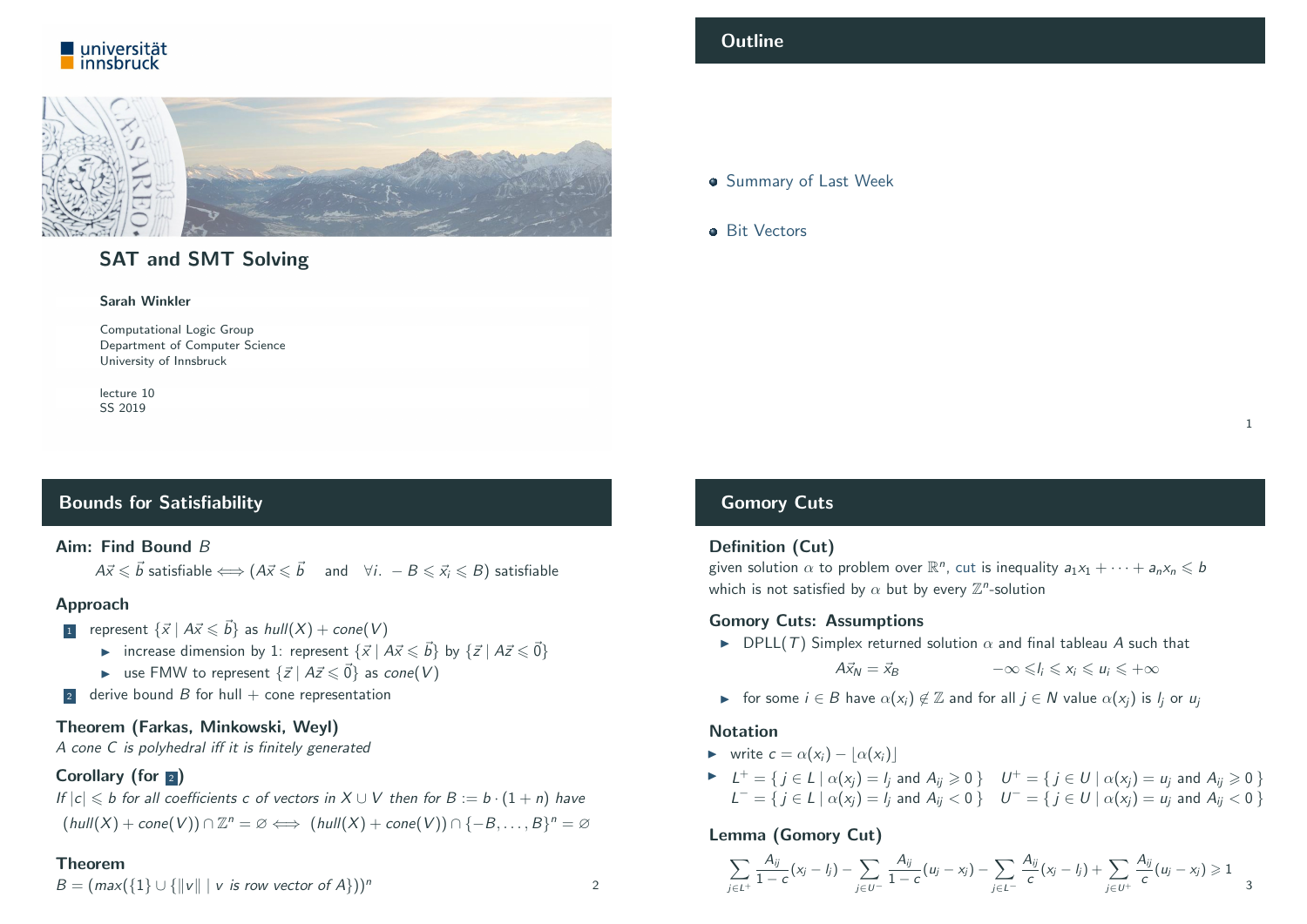



# SAT and SMT Solving

#### Sarah Winkler

Computational Logic Group Department of Computer Science University of Innsbruck

lecture 10 SS 2019

# <span id="page-0-0"></span>Bounds for Satisfiability

#### Aim: Find Bound B

 $A\vec{x} \leqslant \vec{b}$  satisfiable  $\Longleftrightarrow (A\vec{x} \leqslant \vec{b}$  and  $\forall i. -B \leqslant \vec{x_i} \leqslant B)$  satisfiable

#### Approach

- 1 represent  $\{\vec{x} \mid A\vec{x} \leq \vec{b}\}$  as  $hull(X) + cone(V)$ 
	- increase dimension by 1: represent  $\{\vec{x} \mid A\vec{x} \leq \vec{b}\}$  by  $\{\vec{z} \mid A\vec{z} \leq \vec{0}\}$
	- ► [use FMW t](#page-0-0)o represent  $\{\vec{z} \mid A\vec{z} \leq \vec{0}\}$  as cone(V)
- 2 derive bound B for hull  $+$  cone representation

#### [Theorem](#page-1-0) (Farkas, Minkowski, Weyl)

A cone C [is polyhedral iff it is finite](http://cl-informatik.uibk.ac.at/teaching/ss19/satsmt)ly generated

## [Corollary \(fo](http://cl-informatik.uibk.ac.at/~swinkler)r  $\sqrt{2}$ )

If  $|c| \le b$  [for all coefficie](http://cl-informatik.uibk.ac.at/)nts c of vectors in  $X \cup V$  then for  $B := b \cdot (1 + n)$  have  $(hull(X) + cone(V)) \cap \mathbb{Z}^n = \emptyset \Longleftrightarrow (hull(X) + cone(V)) \cap \{-B, \ldots, B\}^n = \emptyset$  $(hull(X) + cone(V)) \cap \mathbb{Z}^n = \emptyset \Longleftrightarrow (hull(X) + cone(V)) \cap \{-B, \ldots, B\}^n = \emptyset$  $(hull(X) + cone(V)) \cap \mathbb{Z}^n = \emptyset \Longleftrightarrow (hull(X) + cone(V)) \cap \{-B, \ldots, B\}^n = \emptyset$ 

#### Theorem

 $B = (max({1} \cup {||v|| \mid v \text{ is row vector of } A}))^n$  2

#### **Outline**

#### **Summary of Last Week**

**a** Rit Vectors

1

# Gomory Cuts

#### Definition (Cut)

given solution  $\alpha$  to problem over  $\mathbb{R}^n$ , cut is inequality  $a_1x_1 + \cdots + a_nx_n \leqslant b$ which is not satisfied by  $\alpha$  but by every  $\mathbb{Z}^n$ -solution

#### Gomory Cuts: Assumptions

 $\triangleright$  DPLL(T) Simplex returned solution  $\alpha$  and final tableau A such that

 $A\vec{x}_N = \vec{x}_B$   $-\infty \leq l_i \leq x_i \leq u_i \leq +\infty$ 

**In** for some  $i \in B$  have  $\alpha(x_i) \notin \mathbb{Z}$  and for all  $i \in N$  value  $\alpha(x_i)$  is  $l_i$  or  $u_i$ 

#### Notation

- $\triangleright$  write  $c = \alpha(x_i) |\alpha(x_i)|$
- $\blacktriangleright$   $L^+=\{j\in L\mid \alpha(x_j)=l_j \text{ and } A_{ij}\geqslant 0\}$   $U^+=\{j\in U\mid \alpha(x_j)=u_j \text{ and } A_{ij}\geqslant 0\}$  $L^- = \{ j \in L \mid \alpha(x_j) = l_j \text{ and } A_{ij} < 0 \}$   $U^- = \{ j \in U \mid \alpha(x_j) = u_j \text{ and } A_{ij} < 0 \}$

# Lemma (Gomory Cut)

$$
\sum_{j\in L^+}\frac{A_{ij}}{1-c}(x_j-l_j)-\sum_{j\in U^-}\frac{A_{ij}}{1-c}(u_j-x_j)-\sum_{j\in L^-}\frac{A_{ij}}{c}(x_j-l_j)+\sum_{j\in U^+}\frac{A_{ij}}{c}(u_j-x_j)\geqslant 1\ \ \, 3
$$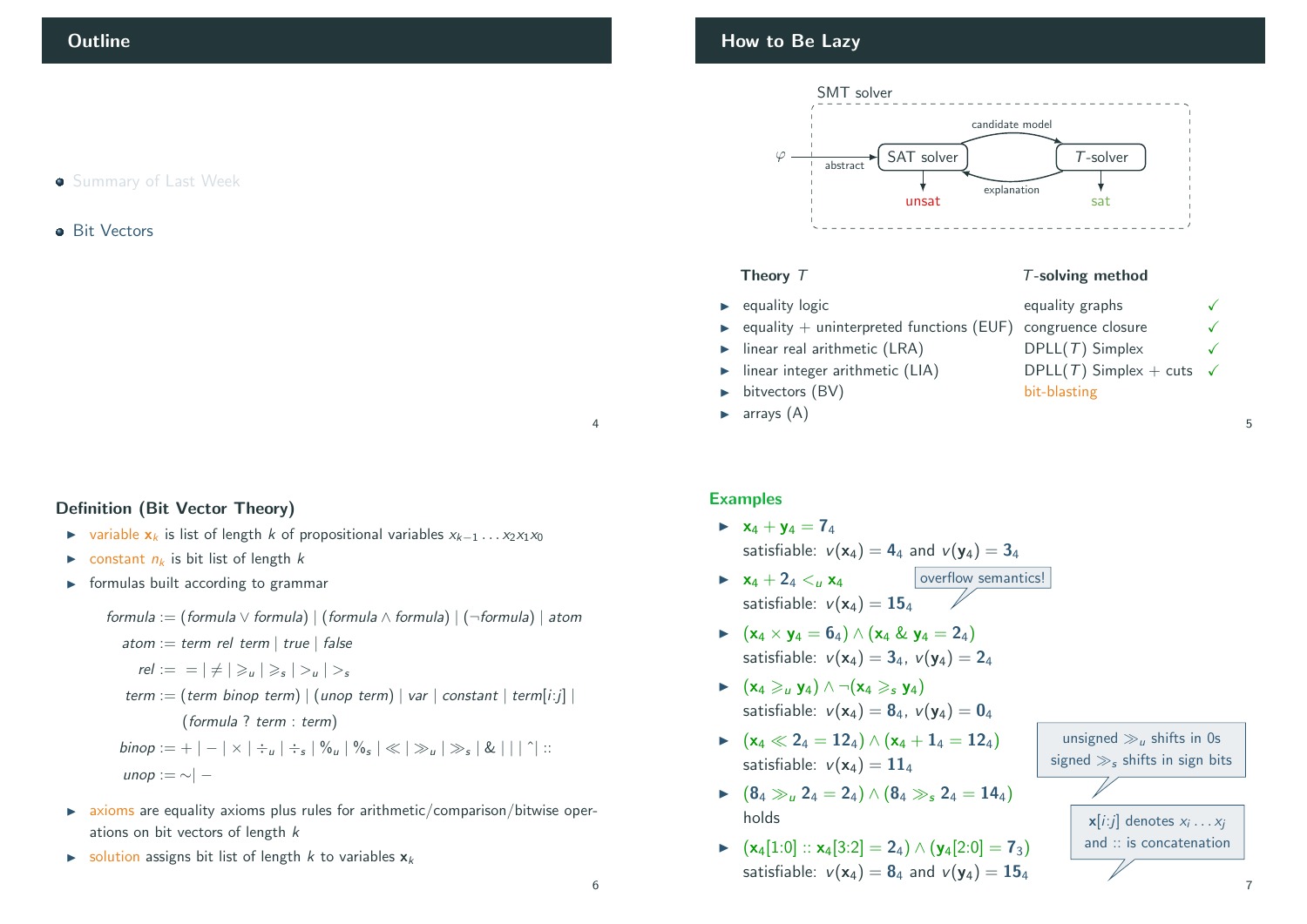### **Summary of Last Week**

#### **•** Bit Vectors

#### <span id="page-1-0"></span>Definition (Bit Vector Theory)

- $\triangleright$  variable  $x_k$  is list of length k of propositional variables  $x_{k-1} \dots x_2 x_1 x_0$
- ightharpoonup constant  $n_k$  is bit list of length k
- $\triangleright$  formulas built according to grammar

# formula := (formula  $\vee$  formula) | (formula  $\wedge$  formula) | (¬formula) | atom atom := term rel term | true | false  $rel := \vert \neq \vert \geq u \vert \geq s \vert > u \vert > s$ term := (term binop term) | (unop term) | var | constant | term[i:j] | (formula ? term : term)

 $\mathit{binop} := + \, |\, - \, |\times| \div_u \, |\div_s| \, \%$ u $| \, \%$ s $| \ll | \, \gg_u | \, \gg_s | \, \& \, |\, |\, |\, |\, \dot{\,}|\,$  :: unop : $=$  ∼ $|-$ 

- $\triangleright$  axioms are equality axioms plus rules for arithmetic/comparison/bitwise operations on bit vectors of length k
- $\triangleright$  solution assigns bit list of length k to variables  $x_k$

# How to Be Lazy



#### Theory  $T$  T-solving method

- 
- $\rightarrow$  equality + uninterpreted functions (EUF) congruence closure
- 
- 
- bitvectors (BV) bit-blasting
- $\blacktriangleright$  arrays  $(A)$

# $\triangleright$  equality logic equality graphs  $\checkmark$  $\triangleright$  linear real arithmetic (LRA) DPLL(T) Simplex  $\checkmark$ Inear integer arithmetic (LIA) DPLL(T) Simplex + cuts  $\checkmark$

5

Examples

- $\triangleright$   $x_4 + y_4 = 7_4$ satisfiable:  $v(\mathbf{x}_4) = 4_4$  and  $v(\mathbf{y}_4) = 3_4$
- overflow semantics!  $\triangleright$   $x_4 + 2_4 < u$   $x_4$ satisfiable:  $v(\mathbf{x}_4) = \mathbf{15}_4$
- $\blacktriangleright$   $(\mathsf{x}_4 \times \mathsf{y}_4 = 6_4) \wedge (\mathsf{x}_4 \& \mathsf{y}_4 = 2_4)$ satisfiable:  $v(x_4) = 3_4$ ,  $v(y_4) = 2_4$
- $\triangleright$   $(x_4 \geq u y_4) \wedge \neg (x_4 \geqslant s y_4)$ satisfiable:  $v(x_4) = 8_4$ ,  $v(y_4) = 0_4$
- $\blacktriangleright$  (x<sub>4</sub>  $\ll$  2<sub>4</sub> = 12<sub>4</sub>)  $\wedge$  (x<sub>4</sub> + 1<sub>4</sub> = 12<sub>4</sub>) satisfiable:  $v(\mathbf{x}_4) = 11_4$
- $\triangleright$  (8<sub>4</sub>  $\gg_u 2_4 = 2_4$ )  $\wedge$  (8<sub>4</sub>  $\gg_s 2_4 = 14_4$ ) holds
- $\triangleright$  (x<sub>4</sub>[1:0] :: x<sub>4</sub>[3:2] = 2<sub>4</sub>)  $\wedge$  (y<sub>4</sub>[2:0] = 7<sub>3</sub>) satisfiable:  $v(\mathbf{x}_4) = \mathbf{8}_4$  and  $v(\mathbf{y}_4) = \mathbf{15}_4$

unsigned  $\gg u$ , shifts in 0s signed  $\gg$ , shifts in sign bits



4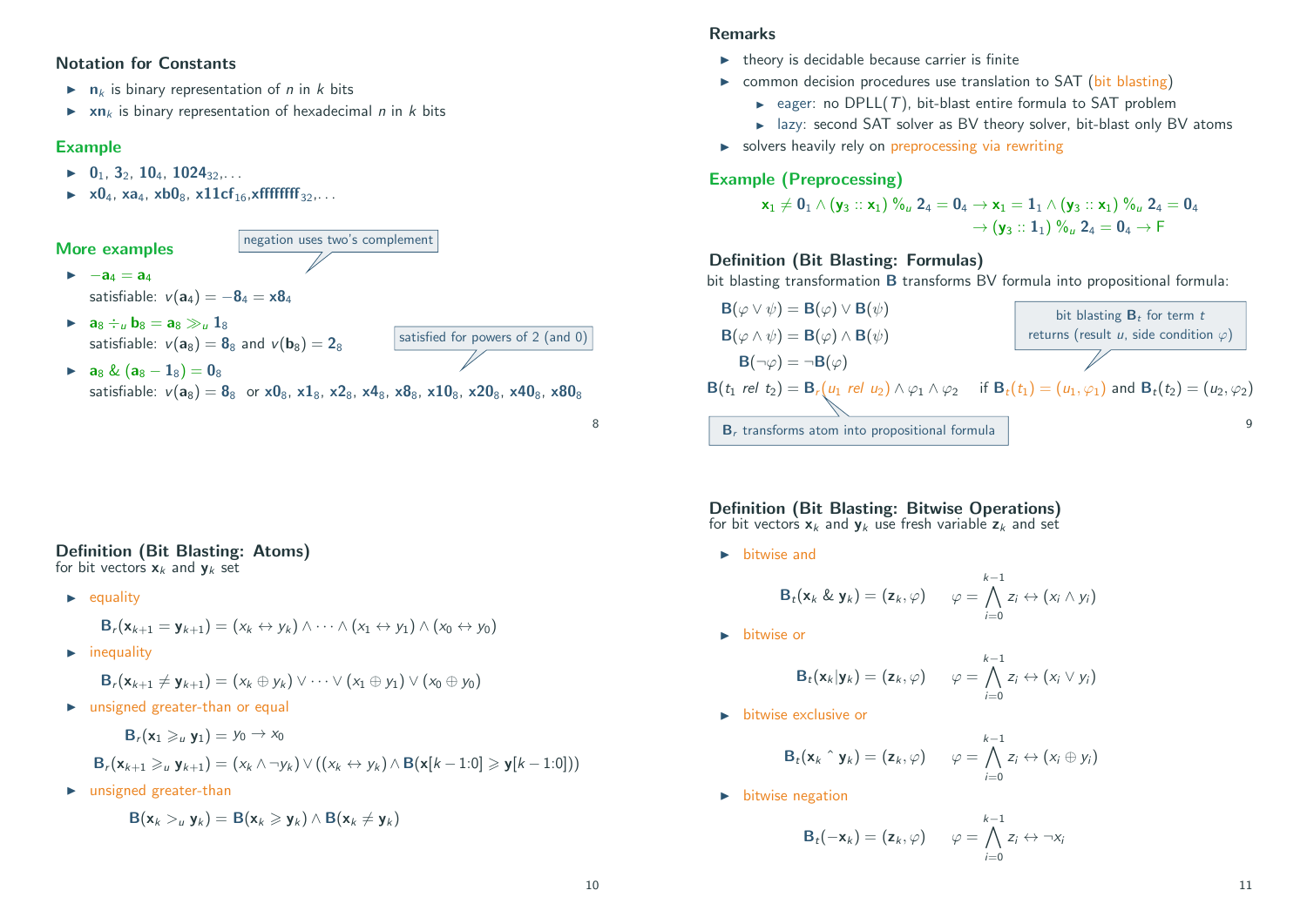#### Notation for Constants

- $\blacktriangleright$  n<sub>k</sub> is binary representation of *n* in *k* bits
- $\triangleright$  xn<sub>k</sub> is binary representation of hexadecimal *n* in *k* bits

#### Example

- $\blacktriangleright$  0<sub>1</sub>, 3<sub>2</sub>, 10<sub>4</sub>, 1024<sub>32</sub>,...
- $\triangleright$   $\times$  0<sub>4</sub>,  $\times$  a<sub>4</sub>,  $\times$  b0<sub>8</sub>,  $\times$  11cf<sub>16</sub>,  $\times$  fffffffff<sub>32</sub>,...

#### More examples

 $\blacktriangleright$   $-a_4 = a_4$ satisfiable:  $v(a_4) = -8_4 = x8_4$ 

 $\bullet$  a<sub>8</sub>  $\div_u$  b<sub>8</sub> = a<sub>8</sub>  $\gg_u$  1<sub>8</sub> satisfiable:  $v(a_8) = 88$  and  $v(b_8) = 28$ 

▶ 
$$
a_8 \& (a_8 - 1_8) = 0_8
$$
  
satisfiable:  $v(a_8) = 8_8$  or  $x0_8$ ,  $x1_8$ ,  $x2_8$ ,  $x4_8$ ,  $x8_8$ ,  $x10_8$ ,  $x20_8$ ,  $x40_8$ ,  $x80_8$ 

satisfied for powers of 2 (and 0)

negation uses two's complement

#### Definition (Bit Blasting: Atoms)

for bit vectors  $x_k$  and  $y_k$  set

 $\blacktriangleright$  equality

$$
\mathbf{B}_r(\mathbf{x}_{k+1}=\mathbf{y}_{k+1})=(x_k\leftrightarrow y_k)\wedge\dots\wedge(x_1\leftrightarrow y_1)\wedge(x_0\leftrightarrow y_0)
$$

 $\blacktriangleright$  inequality

 $\mathbf{B}_{r}(\mathbf{x}_{k+1} \neq \mathbf{y}_{k+1}) = (x_k \oplus y_k) \vee \cdots \vee (x_1 \oplus y_1) \vee (x_0 \oplus y_0)$ 

 $\blacktriangleright$  unsigned greater-than or equal

 $\mathbf{B}_r(\mathbf{x}_1 \geqslant_u \mathbf{y}_1) = y_0 \to x_0$ 

$$
\mathbf{B}_r(\mathbf{x}_{k+1} \geq u \mathbf{y}_{k+1}) = (x_k \wedge \neg y_k) \vee ((x_k \leftrightarrow y_k) \wedge \mathbf{B}(\mathbf{x}[k-1:0] \geq \mathbf{y}[k-1:0]))
$$

 $\blacktriangleright$  unsigned greater-than

$$
B(\mathbf{x}_k >_u \mathbf{y}_k) = B(\mathbf{x}_k \geqslant \mathbf{y}_k) \wedge B(\mathbf{x}_k \neq \mathbf{y}_k)
$$

#### Remarks

- $\blacktriangleright$  theory is decidable because carrier is finite
- $\triangleright$  common decision procedures use translation to SAT (bit blasting)
	- $\rightarrow$  eager: no DPLL(T), bit-blast entire formula to SAT problem
	- $\blacktriangleright$  lazy: second SAT solver as BV theory solver, bit-blast only BV atoms
- $\triangleright$  solvers heavily rely on preprocessing via rewriting

#### Example (Preprocessing)

$$
\begin{aligned} \textbf{x}_1\neq \textbf{0}_1\wedge\left(\textbf{y}_3::\textbf{x}_1\right)\textbf{\%}_u\textbf{2}_4 = \textbf{0}_4 &\rightarrow \textbf{x}_1 = \textbf{1}_1\wedge\left(\textbf{y}_3::\textbf{x}_1\right)\textbf{\%}_u\textbf{2}_4 = \textbf{0}_4\\ &\rightarrow \left(\textbf{y}_3::\textbf{1}_1\right)\textbf{\%}_u\textbf{2}_4 = \textbf{0}_4 &\rightarrow \textsf{F} \end{aligned}
$$

### Definition (Bit Blasting: Formulas)

bit blasting transformation **B** transforms BV formula into propositional formula:



Definition (Bit Blasting: Bitwise Operations)

for bit vectors  $x_k$  and  $y_k$  use fresh variable  $z_k$  and set

 $\blacktriangleright$  bitwise and

$$
\mathbf{B}_t(\mathbf{x}_k \& \mathbf{y}_k) = (\mathbf{z}_k, \varphi) \qquad \varphi = \bigwedge_{i=0}^{k-1} z_i \leftrightarrow (x_i \wedge y_i)
$$

 $\blacktriangleright$  bitwise or

$$
\mathbf{B}_t(\mathbf{x}_k|\mathbf{y}_k) = (\mathbf{z}_k, \varphi) \qquad \varphi = \bigwedge_{i=0}^{k-1} z_i \leftrightarrow (x_i \vee y_i)
$$

 $\blacktriangleright$  bitwise exclusive or

$$
\mathbf{B}_t(\mathbf{x}_k \uparrow \mathbf{y}_k) = (\mathbf{z}_k, \varphi) \qquad \varphi = \bigwedge_{i=0}^{k-1} z_i \leftrightarrow (x_i \oplus y_i)
$$

 $\blacktriangleright$  bitwise negation

$$
\mathbf{B}_t(-\mathbf{x}_k) = (\mathbf{z}_k, \varphi) \qquad \varphi = \bigwedge_{i=0}^{k-1} z_i \leftrightarrow \neg x_i
$$

8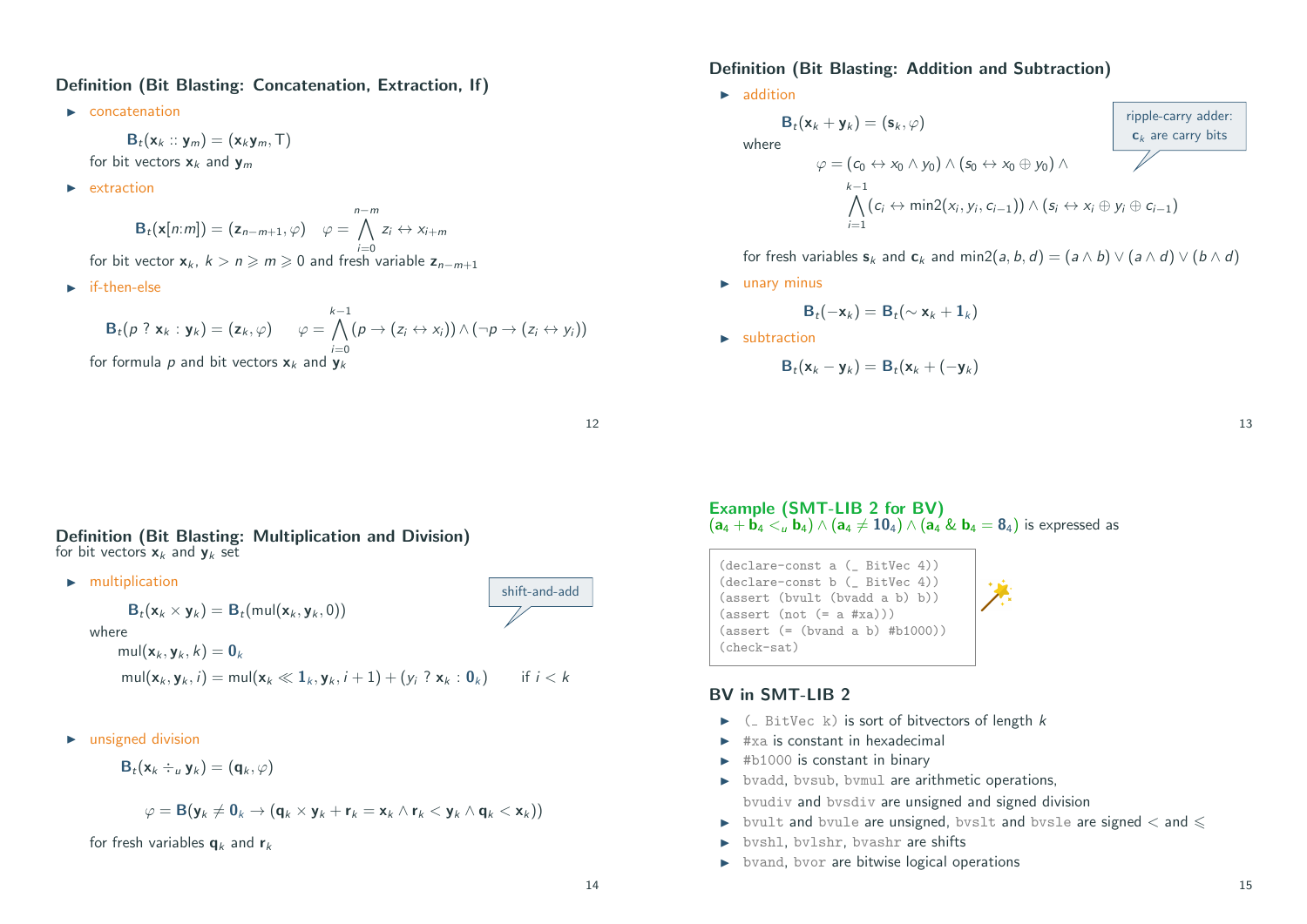#### Definition (Bit Blasting: Concatenation, Extraction, If)

 $\blacktriangleright$  concatenation

 $B_t(\mathbf{x}_k:: \mathbf{y}_m) = (\mathbf{x}_k \mathbf{y}_m, \mathbf{T})$ for bit vectors  $x_k$  and  $y_m$ 

 $\blacktriangleright$  extraction

 $\mathbf{B}_t(\mathbf{x}[n:m]) = (\mathbf{z}_{n-m+1}, \varphi) \quad \varphi =$ n−m<br>∧  $i=0$  $z_i \leftrightarrow x_{i+m}$ 

for bit vector  $x_k$ ,  $k > n \ge m \ge 0$  and fresh variable  $z_{n-m+1}$ 

 $\blacktriangleright$  if-then-else

$$
\mathsf{B}_t(p \; ? \; \mathbf{x}_k : \mathbf{y}_k) = (\mathbf{z}_k, \varphi) \qquad \varphi = \bigwedge_{i=0}^{k-1} (p \to (z_i \leftrightarrow x_i)) \land (\neg p \to (z_i \leftrightarrow y_i))
$$
  
for formula  $p$  and bit vectors  $\mathbf{x}_k$  and  $\mathbf{y}_k$ 

#### Definition (Bit Blasting: Addition and Subtraction)

 $\blacktriangleright$  addition

$$
\mathbf{B}_{t}(\mathbf{x}_{k} + \mathbf{y}_{k}) = (\mathbf{s}_{k}, \varphi)
$$
\nwhere\n
$$
\varphi = (c_{0} \leftrightarrow x_{0} \land y_{0}) \land (\mathbf{s}_{0} \leftrightarrow x_{0} \oplus y_{0}) \land \varphi
$$
\n
$$
\downarrow \qquad \qquad \downarrow
$$
\n
$$
\land (c_{i} \leftrightarrow \min(2(x_{i}, y_{i}, c_{i-1})) \land (\mathbf{s}_{i} \leftrightarrow x_{i} \oplus y_{i} \oplus c_{i-1})
$$
\n
$$
\downarrow \qquad \qquad \downarrow
$$

for fresh variables  $s_k$  and  $c_k$  and min2(a, b, d) = (a  $\wedge$  b)  $\vee$  (a  $\wedge$  d)  $\vee$  (b  $\wedge$  d)

 $\blacktriangleright$  unary minus

$$
\mathsf{B}_t(-\mathsf{x}_k) = \mathsf{B}_t(\sim \mathsf{x}_k + \mathsf{1}_k)
$$

 $\blacktriangleright$  subtraction

$$
\mathbf{B}_t(\mathbf{x}_k-\mathbf{y}_k)=\mathbf{B}_t(\mathbf{x}_k+(-\mathbf{y}_k)
$$

12

shift-and-add

Definition (Bit Blasting: Multiplication and Division) for bit vectors  $x_k$  and  $y_k$  set

 $\blacktriangleright$  multiplication

$$
\mathbf{B}_t(\mathbf{x}_k \times \mathbf{y}_k) = \mathbf{B}_t(\text{mul}(\mathbf{x}_k, \mathbf{y}_k, 0))
$$
  
where  

$$
\text{mul}(\mathbf{x}_k, \mathbf{y}_k, k) = \mathbf{0}_k
$$

$$
\text{mul}(\mathbf{x}_k, \mathbf{y}_k, i) = \text{mul}(\mathbf{x}_k \ll 1_k, \mathbf{y}_k, i+1) + (y_i \cdot \mathbf{x}_k : \mathbf{0}_k) \quad \text{if } i < k
$$

 $\blacktriangleright$  unsigned division

$$
\mathbf{B}_t(\mathbf{x}_k \div_u \mathbf{y}_k) = (\mathbf{q}_k, \varphi)
$$

$$
\varphi = \mathbf{B}(\mathbf{y}_k \neq \mathbf{0}_k \rightarrow (\mathbf{q}_k \times \mathbf{y}_k + \mathbf{r}_k = \mathbf{x}_k \wedge \mathbf{r}_k < \mathbf{y}_k \wedge \mathbf{q}_k < \mathbf{x}_k))
$$

for fresh variables  $q_k$  and  $r_k$ 

Example (SMT-LIB 2 for BV)  $(a_4 + \mathbf{b}_4 < \mathbf{b}_4) \wedge (a_4 \neq 10_4) \wedge (a_4 \& \mathbf{b}_4 = 8_4)$  is expressed as

(declare-const a (\_ BitVec 4)) (declare-const b (\_ BitVec 4)) (assert (bvult (bvadd a b) b))  $(\text{assert} (\text{not } (= a \# xa)))$ (assert (= (bvand a b) #b1000)) (check-sat)

#### BV in SMT-LIB 2

- $\blacktriangleright$  ( BitVec k) is sort of bitvectors of length k
- $\blacktriangleright$  #xa is constant in hexadecimal
- $\blacktriangleright$  #b1000 is constant in binary
- $\rightarrow$  bvadd, bvsub, bvmul are arithmetic operations, bvudiv and bvsdiv are unsigned and signed division
- $\blacktriangleright$  bvult and bvule are unsigned, bvslt and bvsle are signed  $<$  and  $\leq$
- $\rightarrow$  bvshl, bvlshr, bvashr are shifts
- $\triangleright$  bvand, bvor are bitwise logical operations

13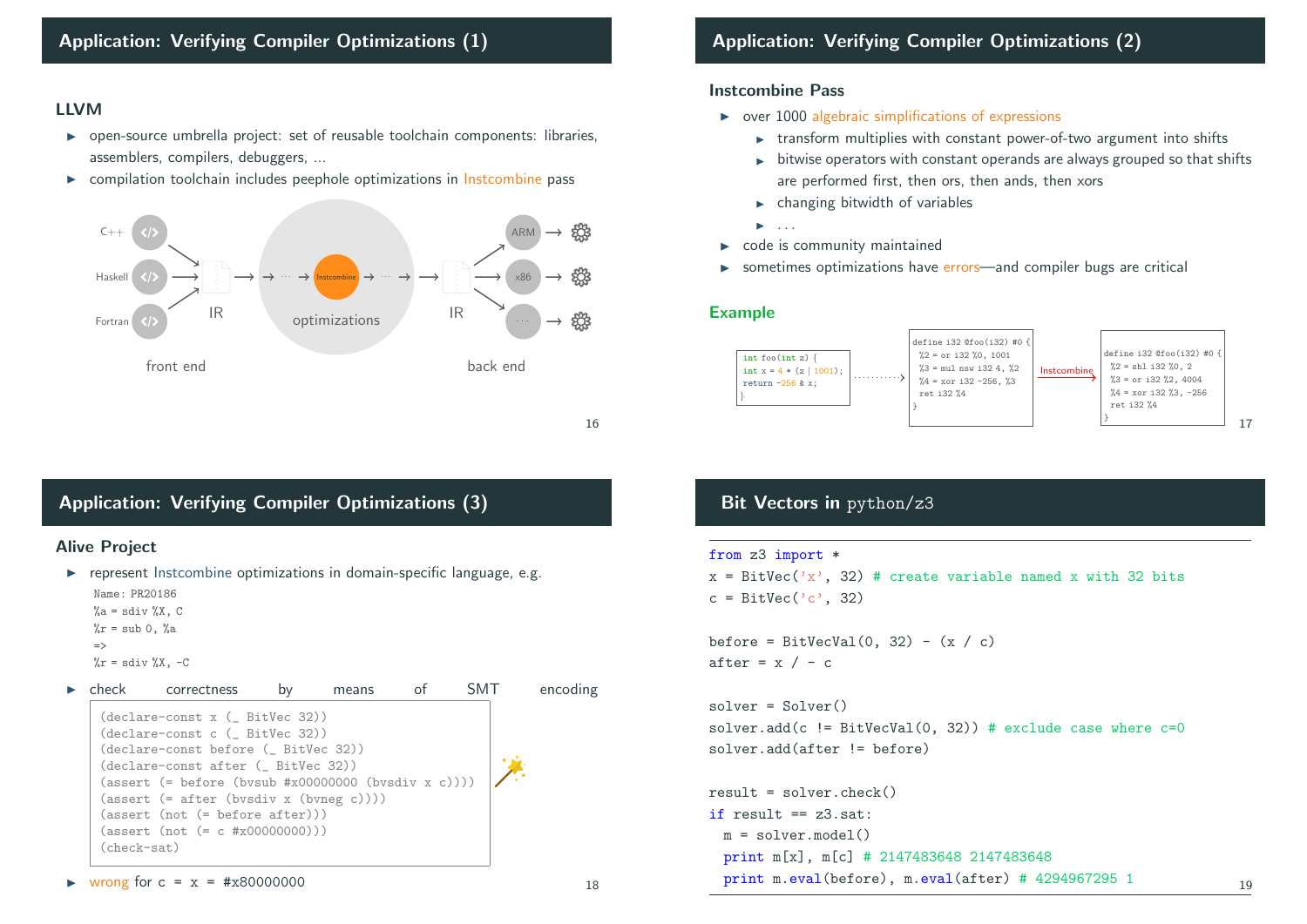#### LLVM

- $\triangleright$  open-source umbrella project: set of reusable toolchain components: libraries, assemblers, compilers, debuggers, ...
- $\triangleright$  compilation toolchain includes peephole optimizations in Instcombine pass



16

# Application: Verifying Compiler Optimizations (3)

#### Alive Project

 $\triangleright$  represent Instcombine optimizations in domain-specific language, e.g. Name: PR20186

```
\%a = \text{sdiv }\%X, C\frac{y}{a}r = sub 0, \frac{y}{a}a
```

```
=>
```

```
\chir = sdiv \chi, -C
```

|             | correctness                                                                                                                           | means |  | encoding |
|-------------|---------------------------------------------------------------------------------------------------------------------------------------|-------|--|----------|
|             | $(declare-const x (-BitVec 32))$<br>$(declare-const c$ $($ BitVec 32))                                                                |       |  |          |
|             | (declare-const before ( BitVec 32))                                                                                                   |       |  |          |
|             | (declare-const after ( BitVec 32))<br>$(\text{assert} (= \text{before} (\text{bysub #x0000000} (\text{bysdiv } x c))))$               |       |  |          |
|             | $(\text{assert } (= \text{after } (\text{bvsdiv } x (\text{bvneg } c))))$<br>$(\text{assert} \text{ (not } (= \text{before after})))$ |       |  |          |
|             | $(\text{assert} (\text{not } (= c \#x00000000)))$                                                                                     |       |  |          |
| (check-sat) |                                                                                                                                       |       |  |          |

#### • wrong for  $c = x = #x80000000$

# Application: Verifying Compiler Optimizations (2)

#### Instcombine Pass

- $\rightarrow$  over 1000 algebraic simplifications of expressions
	- $\triangleright$  transform multiplies with constant power-of-two argument into shifts
	- $\rightarrow$  bitwise operators with constant operands are always grouped so that shifts are performed first, then ors, then ands, then xors
	- $\blacktriangleright$  changing bitwidth of variables
	- $\blacktriangleright$  . . . .
- $\triangleright$  code is community maintained
- sometimes optimizations have errors—and compiler bugs are critical

#### Example



# Bit Vectors in python/z3

```
from z3 import *
```
 $x = BitVec('x', 32)$  # create variable named x with 32 bits  $c = \text{BitVec}(C^{\prime}c^{\prime})$ , 32)

```
before = BitVecVal(0, 32) - (x / c)after = x / - c
```
solver = Solver() solver.add(c  $!=$  BitVecVal(0, 32)) # exclude case where  $c=0$ solver.add(after != before)

```
result = solver, check()if result == z3.set:
m = solvar model()print m[x], m[c] # 2147483648 2147483648
print m.eval(before), m.eval(after) # 4294967295 1 19
```